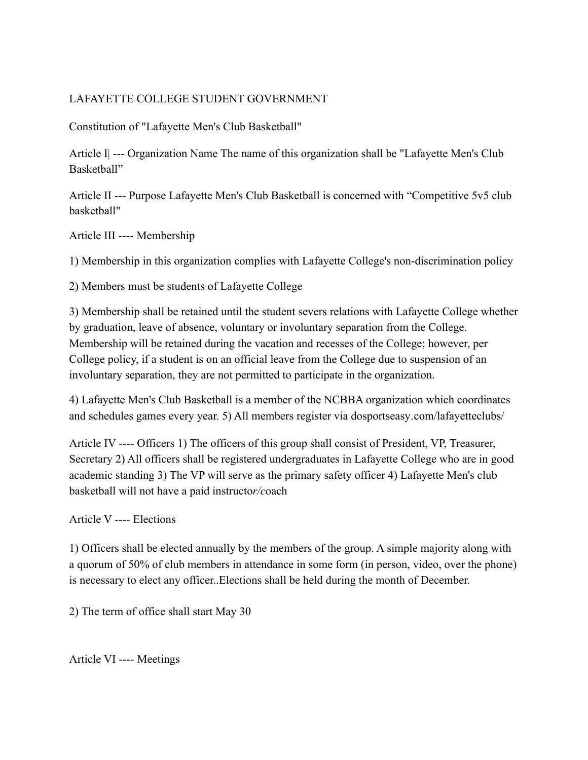## LAFAYETTE COLLEGE STUDENT GOVERNMENT

Constitution of "Lafayette Men's Club Basketball"

Article I| --- Organization Name The name of this organization shall be "Lafayette Men's Club Basketball"

Article II --- Purpose Lafayette Men's Club Basketball is concerned with "Competitive 5v5 club basketball"

Article III ---- Membership

1) Membership in this organization complies with Lafayette College's non-discrimination policy

2) Members must be students of Lafayette College

3) Membership shall be retained until the student severs relations with Lafayette College whether by graduation, leave of absence, voluntary or involuntary separation from the College. Membership will be retained during the vacation and recesses of the College; however, per College policy, if a student is on an official leave from the College due to suspension of an involuntary separation, they are not permitted to participate in the organization.

4) Lafayette Men's Club Basketball is a member of the NCBBA organization which coordinates and schedules games every year. 5) All members register via dosportseasy*.*com/lafayetteclubs/

Article IV ---- Officers 1) The officers of this group shall consist of President, VP, Treasurer, Secretary 2) All officers shall be registered undergraduates in Lafayette College who are in good academic standing 3) The VP will serve as the primary safety officer 4) Lafayette Men's club basketball will not have a paid instructo*r/c*oach

Article V ---- Elections

1) Officers shall be elected annually by the members of the group. A simple majority along with a quorum of 50% of club members in attendance in some form (in person, video, over the phone) is necessary to elect any officer..Elections shall be held during the month of December.

2) The term of office shall start May 30

Article VI ---- Meetings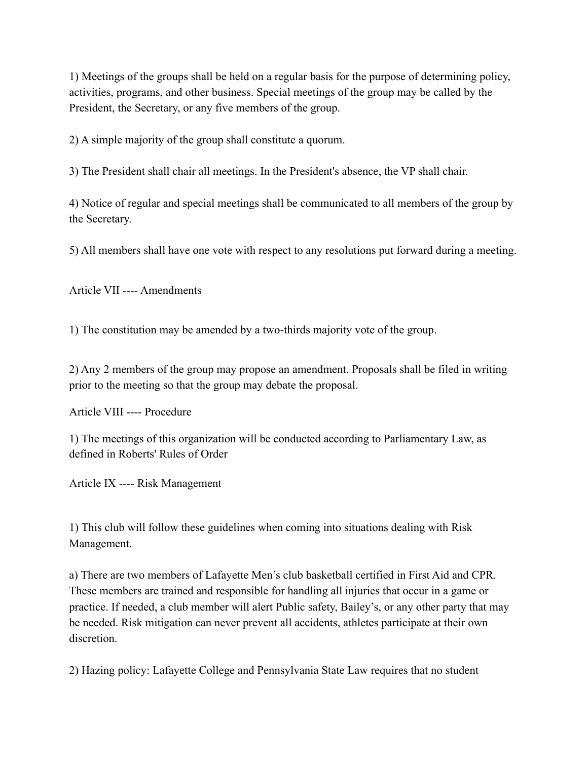1) Meetings of the groups shall be held on a regular basis for the purpose of determining policy, activities, programs, and other business. Special meetings of the group may be called by the President, the Secretary, or any five members of the group.

2) A simple majority of the group shall constitute a quorum.

3) The President shall chair all meetings. In the President's absence, the VP shall chair.

4) Notice of regular and special meetings shall be communicated to all members of the group by the Secretary.

5) All members shall have one vote with respect to any resolutions put forward during a meeting.

Article VII ---- Amendments

1) The constitution may be amended by a two-thirds majority vote of the group.

2) Any 2 members of the group may propose an amendment. Proposals shall be filed in writing prior to the meeting so that the group may debate the proposal.

Article VIII ---- Procedure

1) The meetings of this organization will be conducted according to Parliamentary Law, as defined in Roberts' Rules of Order

Article IX ---- Risk Management

1) This club will follow these guidelines when coming into situations dealing with Risk Management.

a) There are two members of Lafayette Men's club basketball certified in First Aid and CPR. These members are trained and responsible for handling all injuries that occur in a game or practice. If needed, a club member will alert Public safety, Bailey's, or any other party that may be needed. Risk mitigation can never prevent all accidents, athletes participate at their own discretion.

2) Hazing policy: Lafayette College and Pennsylvania State Law requires that no student